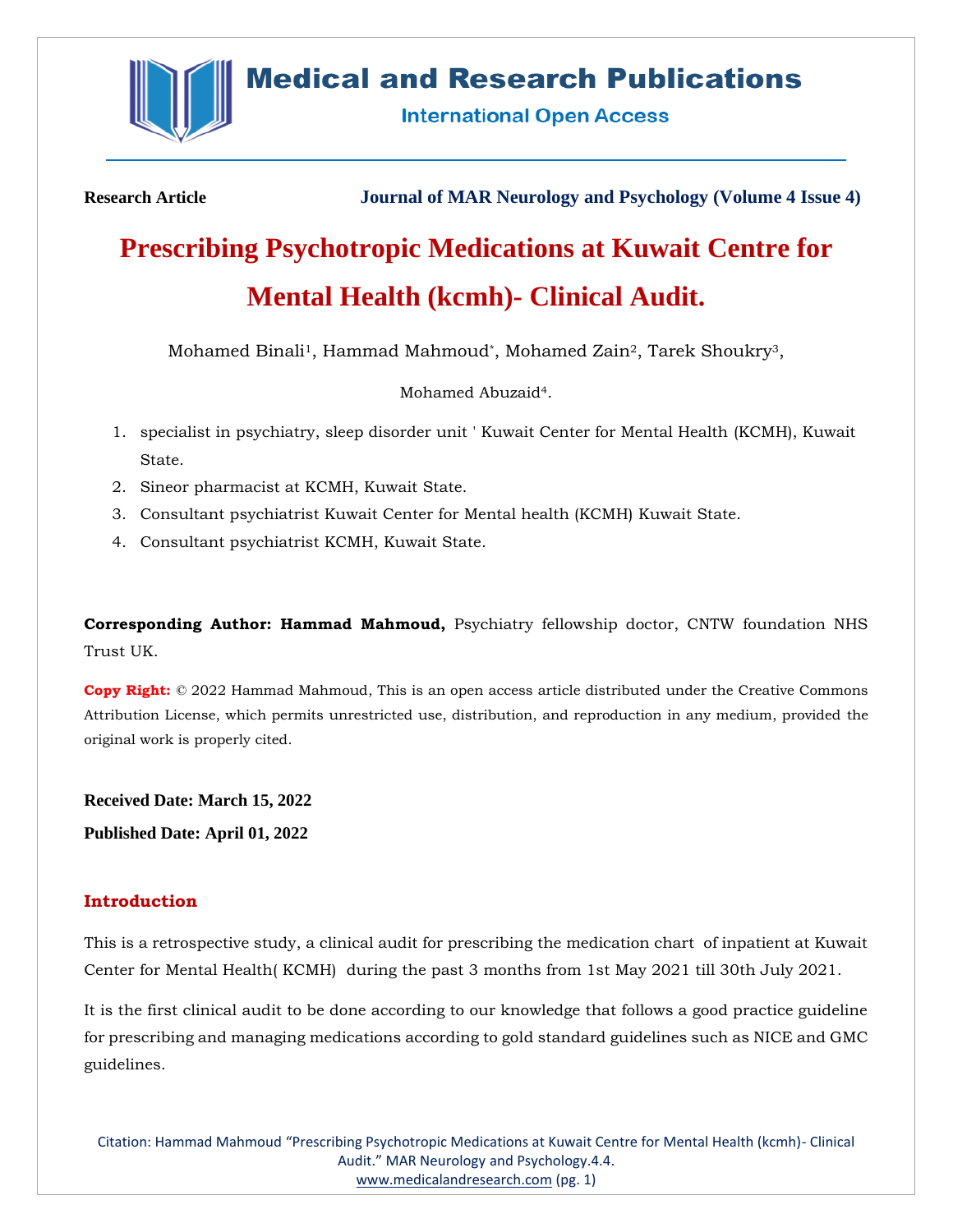

## **Medical and Research Publications**

**International Open Access** 

**Research Article Journal of MAR Neurology and Psychology (Volume 4 Issue 4)**

# **Prescribing Psychotropic Medications at Kuwait Centre for Mental Health (kcmh)- Clinical Audit.**

Mohamed Binali1, Hammad Mahmoud\*, Mohamed Zain2, Tarek Shoukry3,

Mohamed Abuzaid4.

- 1. specialist in psychiatry, sleep disorder unit ' Kuwait Center for Mental Health (KCMH), Kuwait State.
- 2. Sineor pharmacist at KCMH, Kuwait State.
- 3. Consultant psychiatrist Kuwait Center for Mental health (KCMH) Kuwait State.
- 4. Consultant psychiatrist KCMH, Kuwait State.

**Corresponding Author: Hammad Mahmoud,** Psychiatry fellowship doctor, CNTW foundation NHS Trust UK.

**Copy Right:** © 2022 Hammad Mahmoud, This is an open access article distributed under the Creative Commons Attribution License, which permits unrestricted use, distribution, and reproduction in any medium, provided the original work is properly cited.

**Received Date: March 15, 2022**

**Published Date: April 01, 2022**

## **Introduction**

This is a retrospective study, a clinical audit for prescribing the medication chart of inpatient at Kuwait Center for Mental Health( KCMH) during the past 3 months from 1st May 2021 till 30th July 2021.

It is the first clinical audit to be done according to our knowledge that follows a good practice guideline for prescribing and managing medications according to gold standard guidelines such as NICE and GMC guidelines.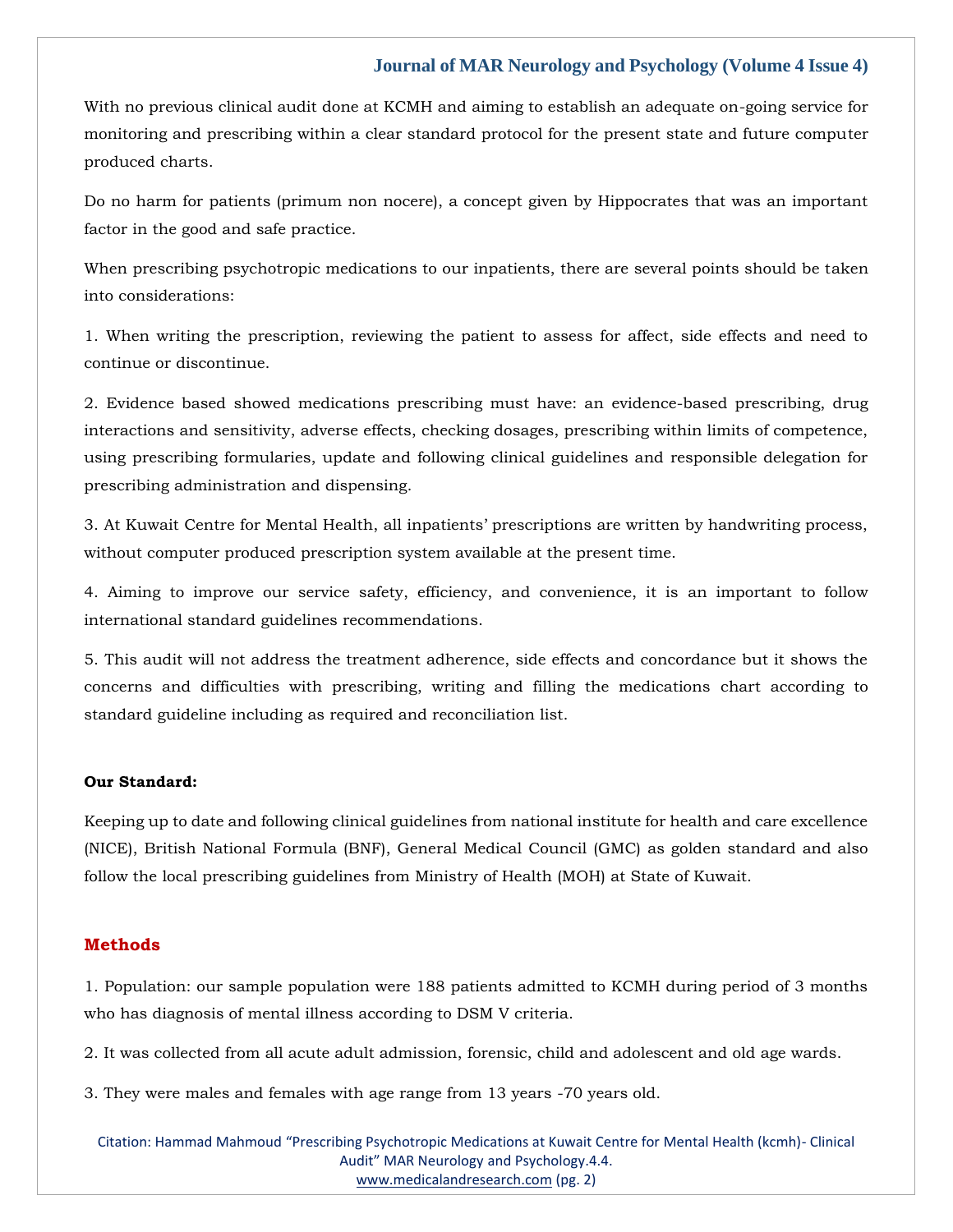With no previous clinical audit done at KCMH and aiming to establish an adequate on-going service for monitoring and prescribing within a clear standard protocol for the present state and future computer produced charts.

Do no harm for patients (primum non nocere), a concept given by Hippocrates that was an important factor in the good and safe practice.

When prescribing psychotropic medications to our inpatients, there are several points should be taken into considerations:

1. When writing the prescription, reviewing the patient to assess for affect, side effects and need to continue or discontinue.

2. Evidence based showed medications prescribing must have: an evidence-based prescribing, drug interactions and sensitivity, adverse effects, checking dosages, prescribing within limits of competence, using prescribing formularies, update and following clinical guidelines and responsible delegation for prescribing administration and dispensing.

3. At Kuwait Centre for Mental Health, all inpatients' prescriptions are written by handwriting process, without computer produced prescription system available at the present time.

4. Aiming to improve our service safety, efficiency, and convenience, it is an important to follow international standard guidelines recommendations.

5. This audit will not address the treatment adherence, side effects and concordance but it shows the concerns and difficulties with prescribing, writing and filling the medications chart according to standard guideline including as required and reconciliation list.

#### **Our Standard:**

Keeping up to date and following clinical guidelines from national institute for health and care excellence (NICE), British National Formula (BNF), General Medical Council (GMC) as golden standard and also follow the local prescribing guidelines from Ministry of Health (MOH) at State of Kuwait.

#### **Methods**

1. Population: our sample population were 188 patients admitted to KCMH during period of 3 months who has diagnosis of mental illness according to DSM V criteria.

2. It was collected from all acute adult admission, forensic, child and adolescent and old age wards.

3. They were males and females with age range from 13 years -70 years old.

Citation: Hammad Mahmoud "Prescribing Psychotropic Medications at Kuwait Centre for Mental Health (kcmh)- Clinical Audit" MAR Neurology and Psychology.4.4. [www.medicalandresearch.com](http://www.medicalandresearch.com/) (pg. 2)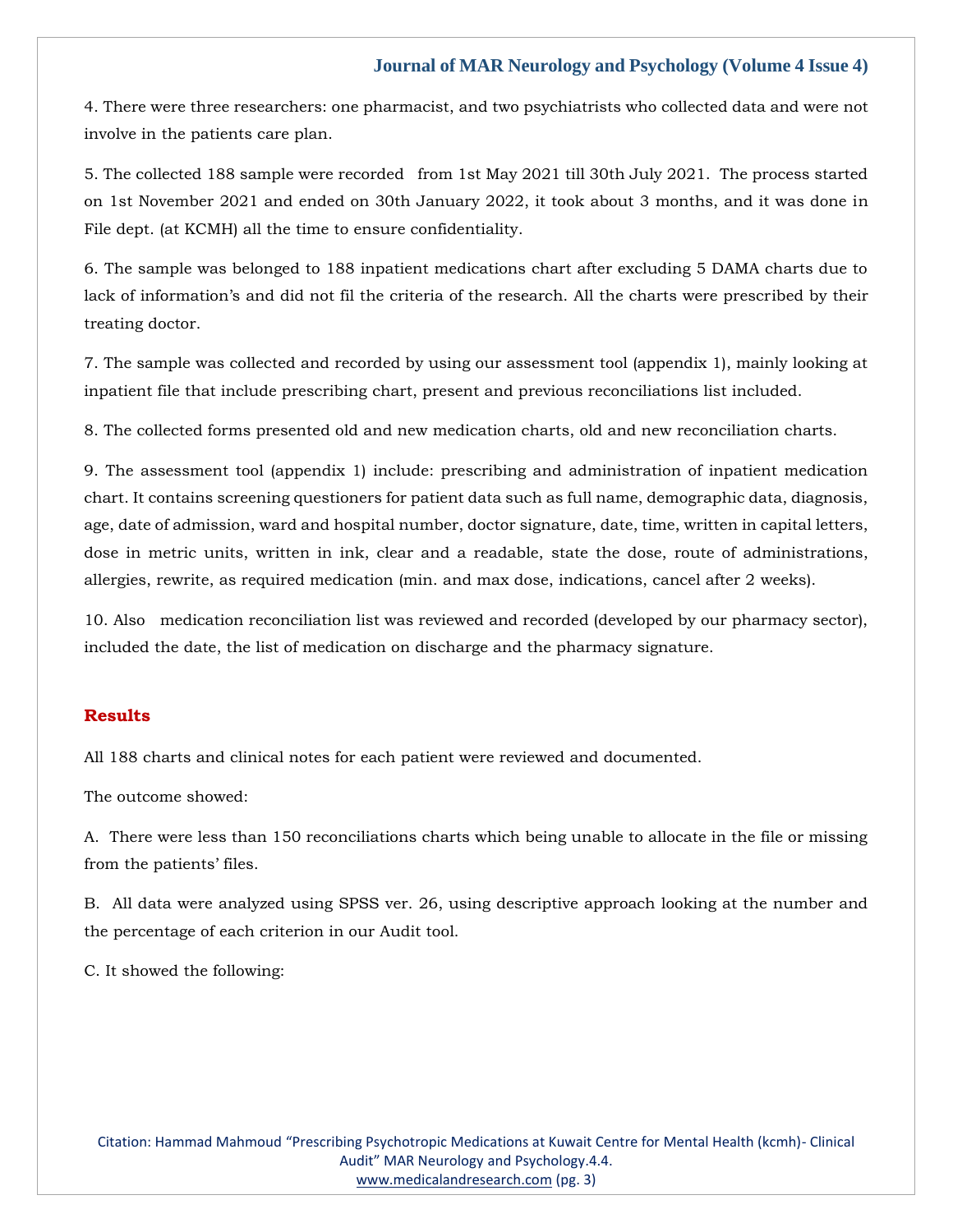4. There were three researchers: one pharmacist, and two psychiatrists who collected data and were not involve in the patients care plan.

5. The collected 188 sample were recorded from 1st May 2021 till 30th July 2021. The process started on 1st November 2021 and ended on 30th January 2022, it took about 3 months, and it was done in File dept. (at KCMH) all the time to ensure confidentiality.

6. The sample was belonged to 188 inpatient medications chart after excluding 5 DAMA charts due to lack of information's and did not fil the criteria of the research. All the charts were prescribed by their treating doctor.

7. The sample was collected and recorded by using our assessment tool (appendix 1), mainly looking at inpatient file that include prescribing chart, present and previous reconciliations list included.

8. The collected forms presented old and new medication charts, old and new reconciliation charts.

9. The assessment tool (appendix 1) include: prescribing and administration of inpatient medication chart. It contains screening questioners for patient data such as full name, demographic data, diagnosis, age, date of admission, ward and hospital number, doctor signature, date, time, written in capital letters, dose in metric units, written in ink, clear and a readable, state the dose, route of administrations, allergies, rewrite, as required medication (min. and max dose, indications, cancel after 2 weeks).

10. Also medication reconciliation list was reviewed and recorded (developed by our pharmacy sector), included the date, the list of medication on discharge and the pharmacy signature.

#### **Results**

All 188 charts and clinical notes for each patient were reviewed and documented.

The outcome showed:

A. There were less than 150 reconciliations charts which being unable to allocate in the file or missing from the patients' files.

B. All data were analyzed using SPSS ver. 26, using descriptive approach looking at the number and the percentage of each criterion in our Audit tool.

C. It showed the following: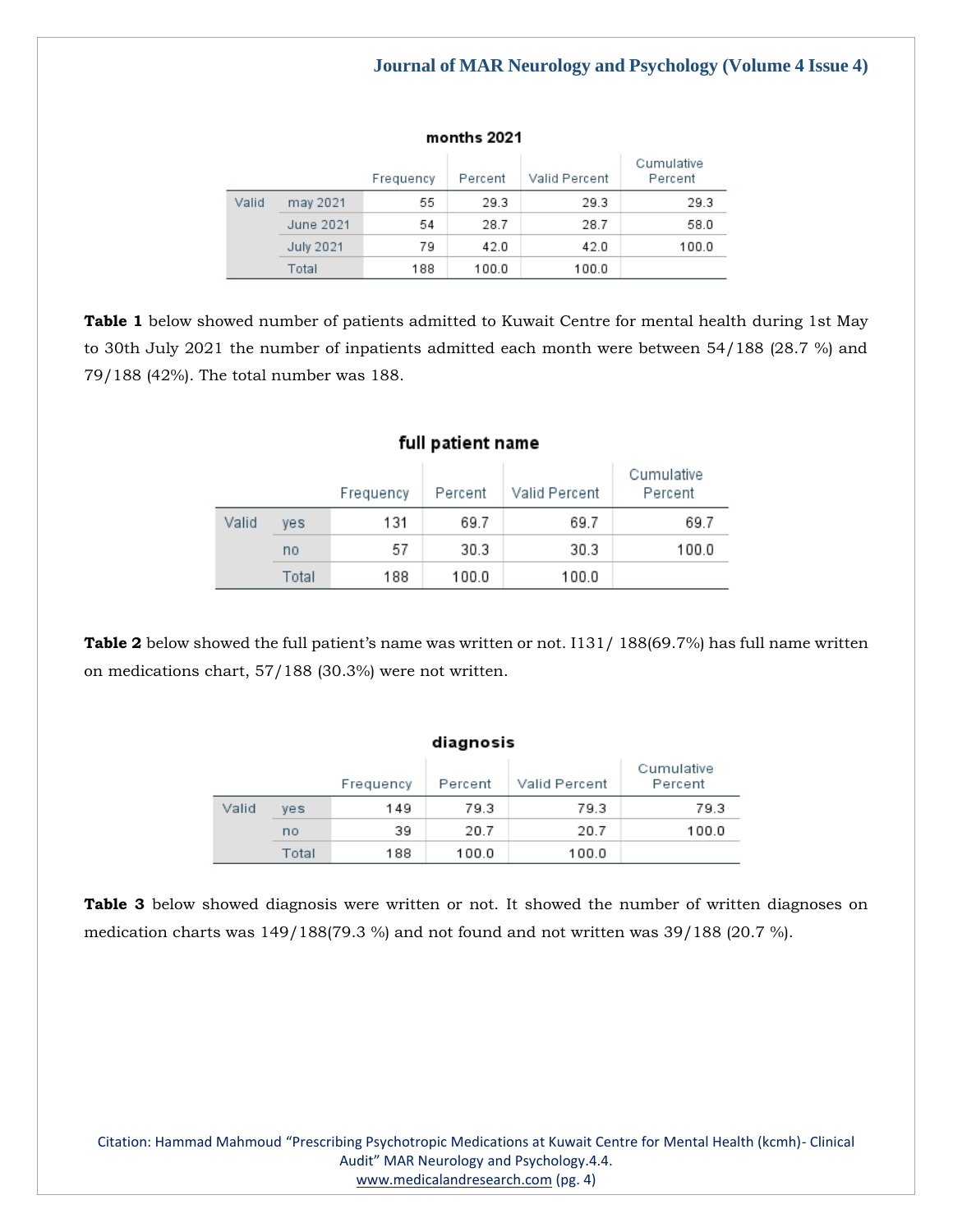|       |                  | Frequency | Percent | Valid Percent | Cumulative<br>Percent |
|-------|------------------|-----------|---------|---------------|-----------------------|
| Valid | may 2021         | 55        | 29.3    | 29.3          | 29.3                  |
|       | June 2021        | 54        | 28.7    | 28.7          | 58.0                  |
|       | <b>July 2021</b> | 79        | 42.0    | 42.0          | 100.0                 |
|       | Total            | 188       | 100.0   | 100.0         |                       |

months 2021

**Table 1** below showed number of patients admitted to Kuwait Centre for mental health during 1st May to 30th July 2021 the number of inpatients admitted each month were between 54/188 (28.7 %) and

79/188 (42%). The total number was 188.

|       | Tun patient name |           |         |               |                       |  |  |  |  |  |
|-------|------------------|-----------|---------|---------------|-----------------------|--|--|--|--|--|
|       |                  | Frequency | Percent | Valid Percent | Cumulative<br>Percent |  |  |  |  |  |
| Valid | yes              | 131       | 69.7    | 69.7          | 69.7                  |  |  |  |  |  |
|       | no               | 57        | 30.3    | 30.3          | 100.0                 |  |  |  |  |  |
|       | Total            | 188       | 100.0   | 100.0         |                       |  |  |  |  |  |

## full nationt name

**Table 2** below showed the full patient's name was written or not. I131/ 188(69.7%) has full name written on medications chart, 57/188 (30.3%) were not written.

|       |            | Frequency | Percent | Valid Percent | Cumulative<br>Percent |  |  |  |
|-------|------------|-----------|---------|---------------|-----------------------|--|--|--|
| Valid | <b>ves</b> | 149       | 79.3    | 79.3          | 79.3                  |  |  |  |
|       | no         | 39        | 20.7    | 20.7          | 100.0                 |  |  |  |
|       | Total      | 188       | 100.0   | 100.0         |                       |  |  |  |

diagnosis

**Table 3** below showed diagnosis were written or not. It showed the number of written diagnoses on medication charts was 149/188(79.3 %) and not found and not written was 39/188 (20.7 %).

Citation: Hammad Mahmoud "Prescribing Psychotropic Medications at Kuwait Centre for Mental Health (kcmh)- Clinical Audit" MAR Neurology and Psychology.4.4. [www.medicalandresearch.com](http://www.medicalandresearch.com/) (pg. 4)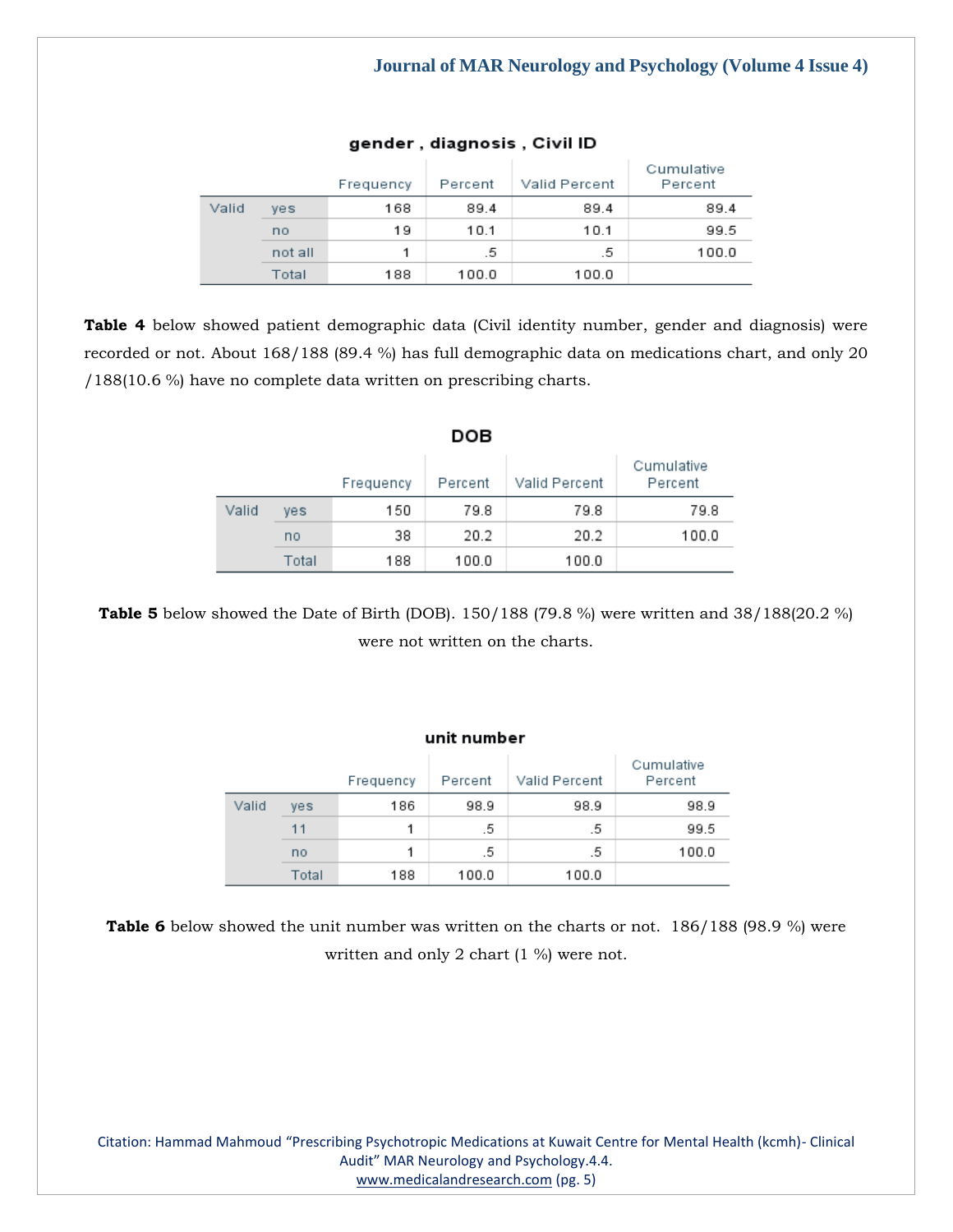|       |         | Frequency | Percent | Valid Percent | Cumulative<br>Percent |
|-------|---------|-----------|---------|---------------|-----------------------|
| Valid | ves     | 168       | 89.4    | 89.4          | 89.4                  |
|       | no      | 19        | 10.1    | 10.1          | 99.5                  |
|       | not all | 1.        | .5      | .5            | 100.0                 |
|       | Total   | 188       | 100.0   | 100.0         |                       |

#### gender, diagnosis, Civil ID

**Table 4** below showed patient demographic data (Civil identity number, gender and diagnosis) were recorded or not. About 168/188 (89.4 %) has full demographic data on medications chart, and only 20 /188(10.6 %) have no complete data written on prescribing charts.

|       |       |           | DOB     |               |                       |
|-------|-------|-----------|---------|---------------|-----------------------|
|       |       | Frequency | Percent | Valid Percent | Cumulative<br>Percent |
| Valid | yes   | 150       | 79.8    | 79.8          | 79.8                  |
|       | no    | 38        | 20.2    | 20.2          | 100.0                 |
|       | Total | 188       | 100.0   | 100.0         |                       |

**Table 5** below showed the Date of Birth (DOB). 150/188 (79.8 %) were written and 38/188(20.2 %) were not written on the charts.

## unit number

|       |       | Frequency | Percent | Valid Percent | Cumulative<br>Percent |
|-------|-------|-----------|---------|---------------|-----------------------|
| Valid | ves   | 186       | 98.9    | 98.9          | 98.9                  |
|       | 11    |           | .5      | .5            | 99.5                  |
|       | no    |           | .5      | .5            | 100.0                 |
|       | Total | 188       | 100.0   | 100.0         |                       |

**Table 6** below showed the unit number was written on the charts or not. 186/188 (98.9 %) were written and only 2 chart (1 %) were not.

Citation: Hammad Mahmoud "Prescribing Psychotropic Medications at Kuwait Centre for Mental Health (kcmh)- Clinical Audit" MAR Neurology and Psychology.4.4. [www.medicalandresearch.com](http://www.medicalandresearch.com/) (pg. 5)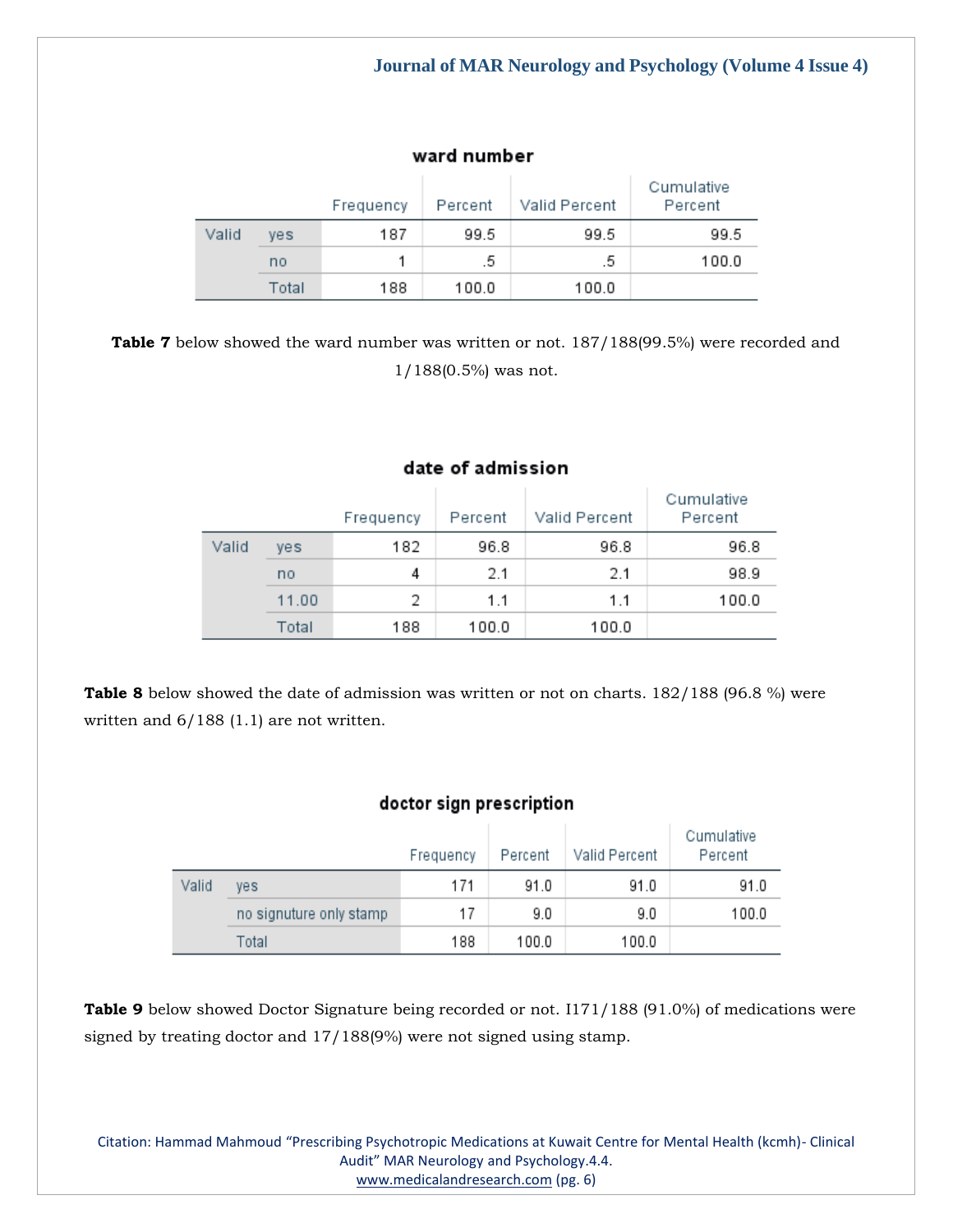## ward number

|       |       | Frequency | Percent | Valid Percent | Cumulative<br>Percent |
|-------|-------|-----------|---------|---------------|-----------------------|
| Valid | ves   | 187       | 99.5    | 99.5          | 99.5                  |
|       | no    |           | .5.     | .5.           | 100.0                 |
|       | Total | 188       | 100.0   | 100.0         |                       |

**Table 7** below showed the ward number was written or not. 187/188(99.5%) were recorded and 1/188(0.5%) was not.

|       |       | Frequency | Percent | Valid Percent | Cumulative<br>Percent |
|-------|-------|-----------|---------|---------------|-----------------------|
| Valid | yes   | 182       | 96.8    | 96.8          | 96.8                  |
|       | no    | 4         | 2.1     | 2.1           | 98.9                  |
|       | 11.00 | 2         | 1.1     | 1.1           | 100.0                 |
|       | Total | 188       | 100.0   | 100.0         |                       |

date of admission

**Table 8** below showed the date of admission was written or not on charts. 182/188 (96.8 %) were written and 6/188 (1.1) are not written.

## doctor sign prescription

|       |                         | Frequency | Percent | Valid Percent | Cumulative<br>Percent |
|-------|-------------------------|-----------|---------|---------------|-----------------------|
| Valid | yes                     | 171       | 91.0    | 91.0          | 91.0                  |
|       | no signuture only stamp | 17        | 9.0     | 9.0           | 100.0                 |
|       | Total                   | 188       | 100.0   | 100.0         |                       |

**Table 9** below showed Doctor Signature being recorded or not. I171/188 (91.0%) of medications were signed by treating doctor and 17/188(9%) were not signed using stamp.

Citation: Hammad Mahmoud "Prescribing Psychotropic Medications at Kuwait Centre for Mental Health (kcmh)- Clinical Audit" MAR Neurology and Psychology.4.4. [www.medicalandresearch.com](http://www.medicalandresearch.com/) (pg. 6)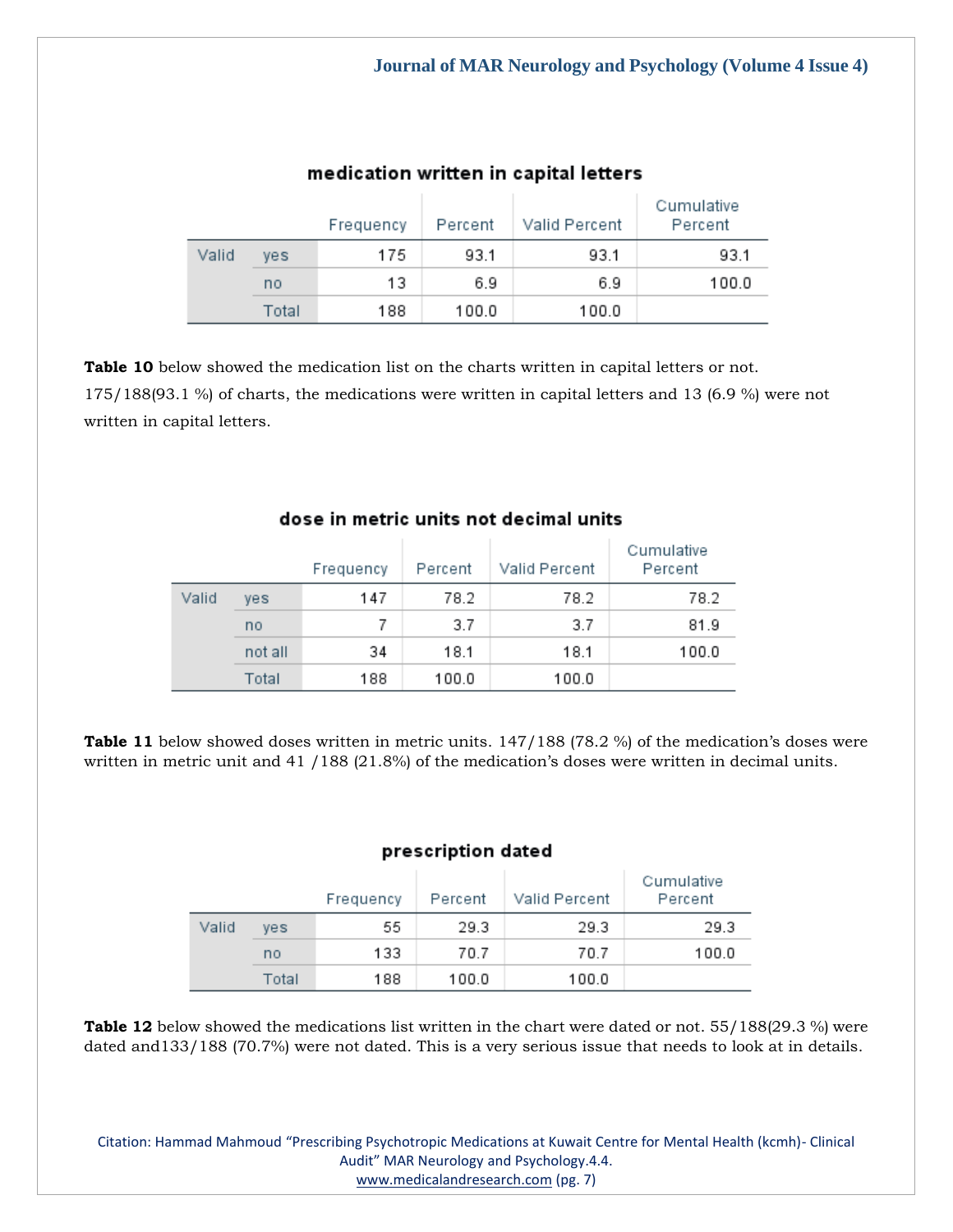|       |       | Frequency | Percent | Valid Percent | Cumulative<br>Percent |
|-------|-------|-----------|---------|---------------|-----------------------|
| Valid | ves   | 175       | 93.1    | 93.1          | 93.1                  |
|       | no    | 13        | 6.9     | 6.9           | 100.0                 |
|       | Total | 188       | 100.0   | 100.0         |                       |

## medication written in capital letters

**Table 10** below showed the medication list on the charts written in capital letters or not. 175/188(93.1 %) of charts, the medications were written in capital letters and 13 (6.9 %) were not written in capital letters.

|       |         | Frequency | Percent | Valid Percent | Cumulative<br>Percent |
|-------|---------|-----------|---------|---------------|-----------------------|
| Valid | yes     | 147       | 78.2    | 78.2          | 78.2                  |
|       | no      | 7         | 3.7     | 3.7           | 81.9                  |
|       | not all | 34        | 18.1    | 18.1          | 100.0                 |
|       | Total   | 188       | 100.0   | 100.0         |                       |

## dose in metric units not decimal units

**Table 11** below showed doses written in metric units. 147/188 (78.2 %) of the medication's doses were written in metric unit and 41 / 188 (21.8%) of the medication's doses were written in decimal units.

## prescription dated

|       |       | Frequency | Percent | Valid Percent | Cumulative<br>Percent |
|-------|-------|-----------|---------|---------------|-----------------------|
| Valid | ves   | 55        | 29.3    | 29.3          | 29.3                  |
|       | no    | 133       | 70.7    | 70.7          | 100.0                 |
|       | Total | 188       | 100.0   | 100.0         |                       |

**Table 12** below showed the medications list written in the chart were dated or not. 55/188(29.3 %) were dated and133/188 (70.7%) were not dated. This is a very serious issue that needs to look at in details.

Citation: Hammad Mahmoud "Prescribing Psychotropic Medications at Kuwait Centre for Mental Health (kcmh)- Clinical Audit" MAR Neurology and Psychology.4.4. [www.medicalandresearch.com](http://www.medicalandresearch.com/) (pg. 7)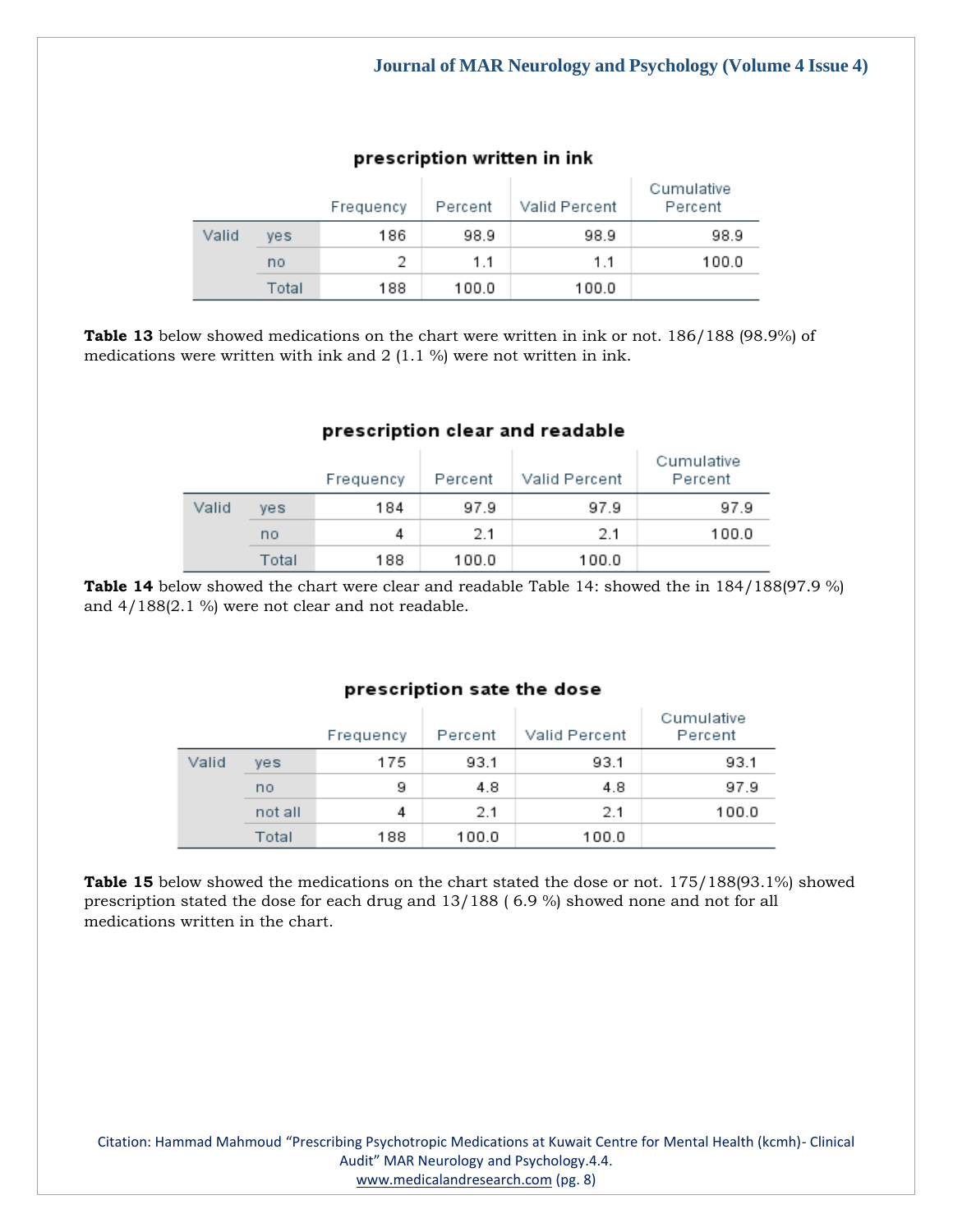|       |       | Frequency | Percent | Valid Percent | Cumulative<br>Percent |
|-------|-------|-----------|---------|---------------|-----------------------|
| Valid | ves   | 186       | 98.9    | 98.9          | 98.9                  |
|       | no    | 2         | 11      | 1.1           | 100.0                 |
|       | Total | 188       | 100.0   | 100.0         |                       |

## prescription written in ink

**Table 13** below showed medications on the chart were written in ink or not. 186/188 (98.9%) of medications were written with ink and 2 (1.1 %) were not written in ink.

## prescription clear and readable

|       |       | Frequency | Percent | Valid Percent | Cumulative<br>Percent |
|-------|-------|-----------|---------|---------------|-----------------------|
| Valid | ves   | 184       | 97.9    | 97.9          | 97.9                  |
|       | no    | 4         | 2.1     | 2.1           | 100.0                 |
|       | Total | 188       | 100.0   | 100.0         |                       |

**Table 14** below showed the chart were clear and readable Table 14: showed the in 184/188(97.9 %) and 4/188(2.1 %) were not clear and not readable.

## prescription sate the dose

|       |         | Frequency | Percent | Valid Percent | Cumulative<br>Percent |
|-------|---------|-----------|---------|---------------|-----------------------|
| Valid | ves     | 175       | 93.1    | 93.1          | 93.1                  |
|       | no      | 9         | 4.8     | 4.8           | 97.9                  |
|       | not all | 4         | 2.1     | 2.1           | 100.0                 |
|       | Total   | 188       | 100.0   | 100.0         |                       |

**Table 15** below showed the medications on the chart stated the dose or not. 175/188(93.1%) showed prescription stated the dose for each drug and 13/188 ( 6.9 %) showed none and not for all medications written in the chart.

Citation: Hammad Mahmoud "Prescribing Psychotropic Medications at Kuwait Centre for Mental Health (kcmh)- Clinical Audit" MAR Neurology and Psychology.4.4. [www.medicalandresearch.com](http://www.medicalandresearch.com/) (pg. 8)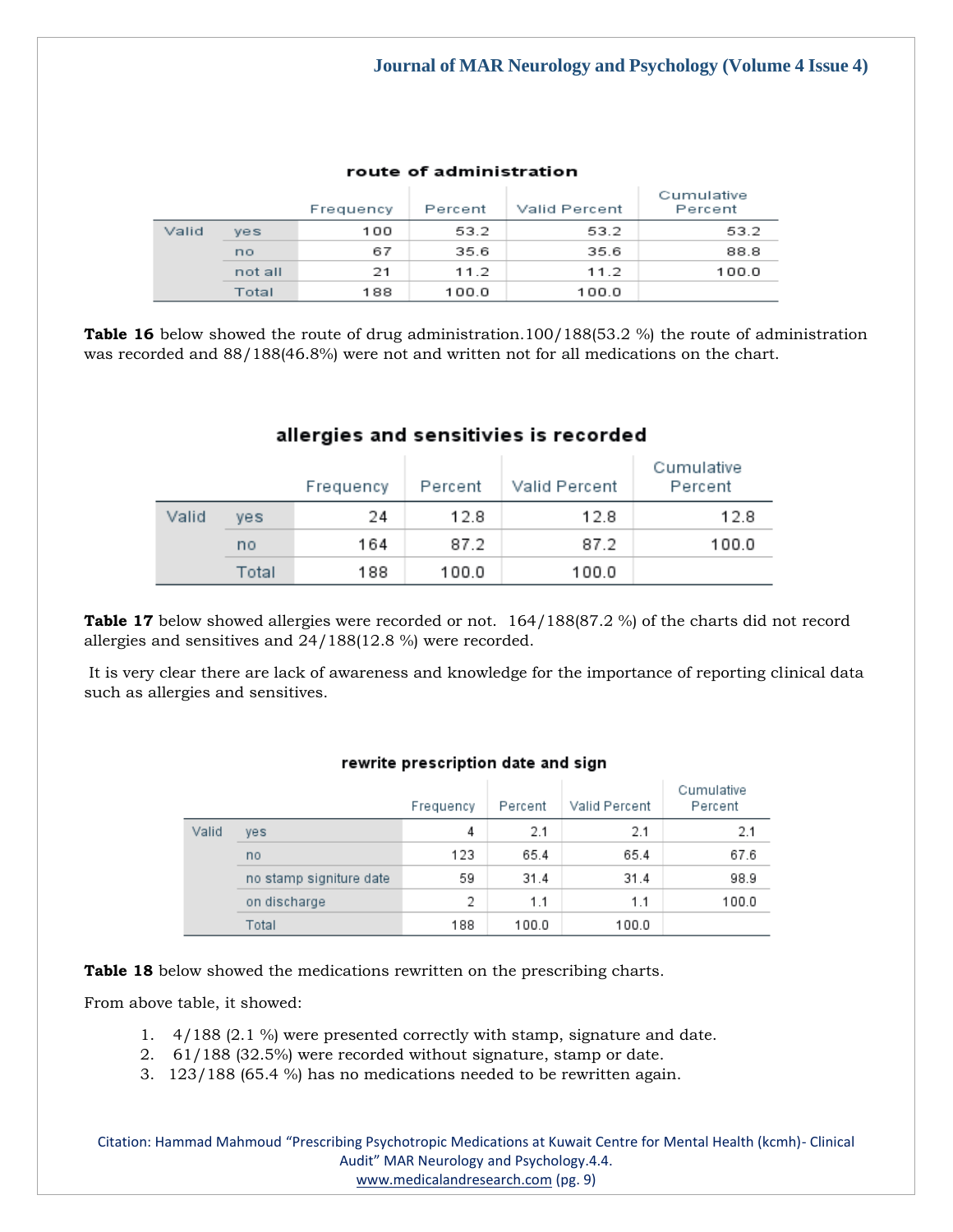|       |         | Frequency | Percent | Valid Percent | Cumulative<br>Percent |
|-------|---------|-----------|---------|---------------|-----------------------|
| Valid | ves     | 100       | 53.2    | 53.2          | 53.2                  |
|       | no      | 67        | 35.6    | 35.6          | 88.8                  |
|       | not all | 21        | 11.2    | 11.2          | 100.0                 |
|       | Total   | 188       | 100.0   | 100.0         |                       |

#### route of administration

**Table 16** below showed the route of drug administration.100/188(53.2 %) the route of administration was recorded and 88/188(46.8%) were not and written not for all medications on the chart.

|       |       | Frequency | Percent | Valid Percent | Cumulative<br>Percent |
|-------|-------|-----------|---------|---------------|-----------------------|
| Valid | ves   | 24        | 12.8    | 12.8          | 12.8                  |
|       | no    | 164       | 87.2    | 87.2          | 100.0                 |
|       | Total | 188       | 100.0   | 100.0         |                       |

## allergies and sensitivies is recorded

**Table 17** below showed allergies were recorded or not. 164/188(87.2 %) of the charts did not record allergies and sensitives and 24/188(12.8 %) were recorded.

It is very clear there are lack of awareness and knowledge for the importance of reporting clinical data such as allergies and sensitives.

|       |                         | Frequency | Percent | Valid Percent | Cumulative<br>Percent |
|-------|-------------------------|-----------|---------|---------------|-----------------------|
| Valid | yes                     | 4         | 2.1     | 2.1           | 2.1                   |
|       | no                      | 123       | 65.4    | 65.4          | 67.6                  |
|       | no stamp signiture date | 59        | 31.4    | 31.4          | 98.9                  |
|       | on discharge            | 2         | 1.1     | 1.1           | 100.0                 |
|       | Total                   | 188       | 100.0   | 100.0         |                       |

#### rewrite prescription date and sign

**Table 18** below showed the medications rewritten on the prescribing charts.

From above table, it showed:

- 1. 4/188 (2.1 %) were presented correctly with stamp, signature and date.
- 2. 61/188 (32.5%) were recorded without signature, stamp or date.
- 3. 123/188 (65.4 %) has no medications needed to be rewritten again.

Citation: Hammad Mahmoud "Prescribing Psychotropic Medications at Kuwait Centre for Mental Health (kcmh)- Clinical Audit" MAR Neurology and Psychology.4.4. [www.medicalandresearch.com](http://www.medicalandresearch.com/) (pg. 9)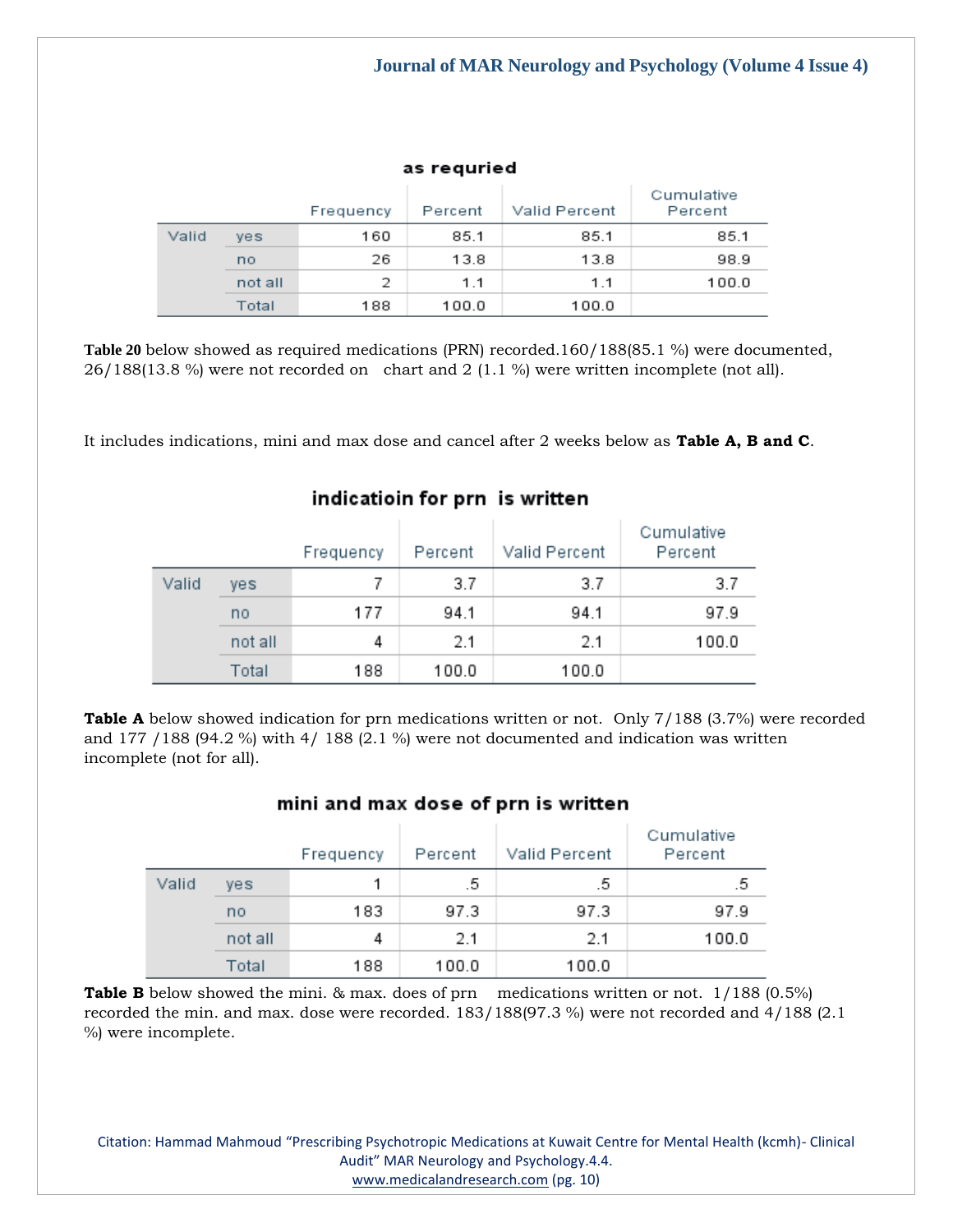| as reguried |  |  |  |
|-------------|--|--|--|
|             |  |  |  |

|       |         | Frequency | Percent | Valid Percent | Cumulative<br>Percent |
|-------|---------|-----------|---------|---------------|-----------------------|
| Valid | yes     | 160       | 85.1    | 85.1          | 85.1                  |
|       | no      | 26        | 13.8    | 13.8          | 98.9                  |
|       | not all | 2         | 11      | 1.1           | 100.0                 |
|       | Total   | 188       | 100.0   | 100.0         |                       |

**Table 20** below showed as required medications (PRN) recorded.160/188(85.1 %) were documented, 26/188(13.8 %) were not recorded on chart and 2 (1.1 %) were written incomplete (not all).

It includes indications, mini and max dose and cancel after 2 weeks below as **Table A, B and C**.

|       |         | Frequency | Percent | Valid Percent | Cumulative<br>Percent |
|-------|---------|-----------|---------|---------------|-----------------------|
| Valid | ves     | 7         | 3.7     | 3.7           | 3.7                   |
|       | no      | 177       | 94.1    | 94.1          | 97.9                  |
|       | not all | 4         | 2.1     | 2.1           | 100.0                 |
|       | Total   | 188       | 100.0   | 100.0         |                       |

## indicatioin for prn is written

**Table A** below showed indication for prn medications written or not. Only 7/188 (3.7%) were recorded and 177 / 188 (94.2 %) with 4/ 188 (2.1 %) were not documented and indication was written incomplete (not for all).

#### mini and max dose of prn is written

|       |            | Frequency | Percent | Valid Percent | Cumulative<br>Percent |
|-------|------------|-----------|---------|---------------|-----------------------|
| Valid | <b>ves</b> |           | .5      | .5            | .5                    |
|       | no         | 183       | 97.3    | 97.3          | 97.9                  |
|       | not all    | 4         | 2.1     | 2.1           | 100.0                 |
|       | Total      | 188       | 100.0   | 100.0         |                       |

**Table B** below showed the mini. & max. does of prn medications written or not. 1/188 (0.5%) recorded the min. and max. dose were recorded. 183/188(97.3 %) were not recorded and 4/188 (2.1 %) were incomplete.

Citation: Hammad Mahmoud "Prescribing Psychotropic Medications at Kuwait Centre for Mental Health (kcmh)- Clinical Audit" MAR Neurology and Psychology.4.4.

[www.medicalandresearch.com](http://www.medicalandresearch.com/) (pg. 10)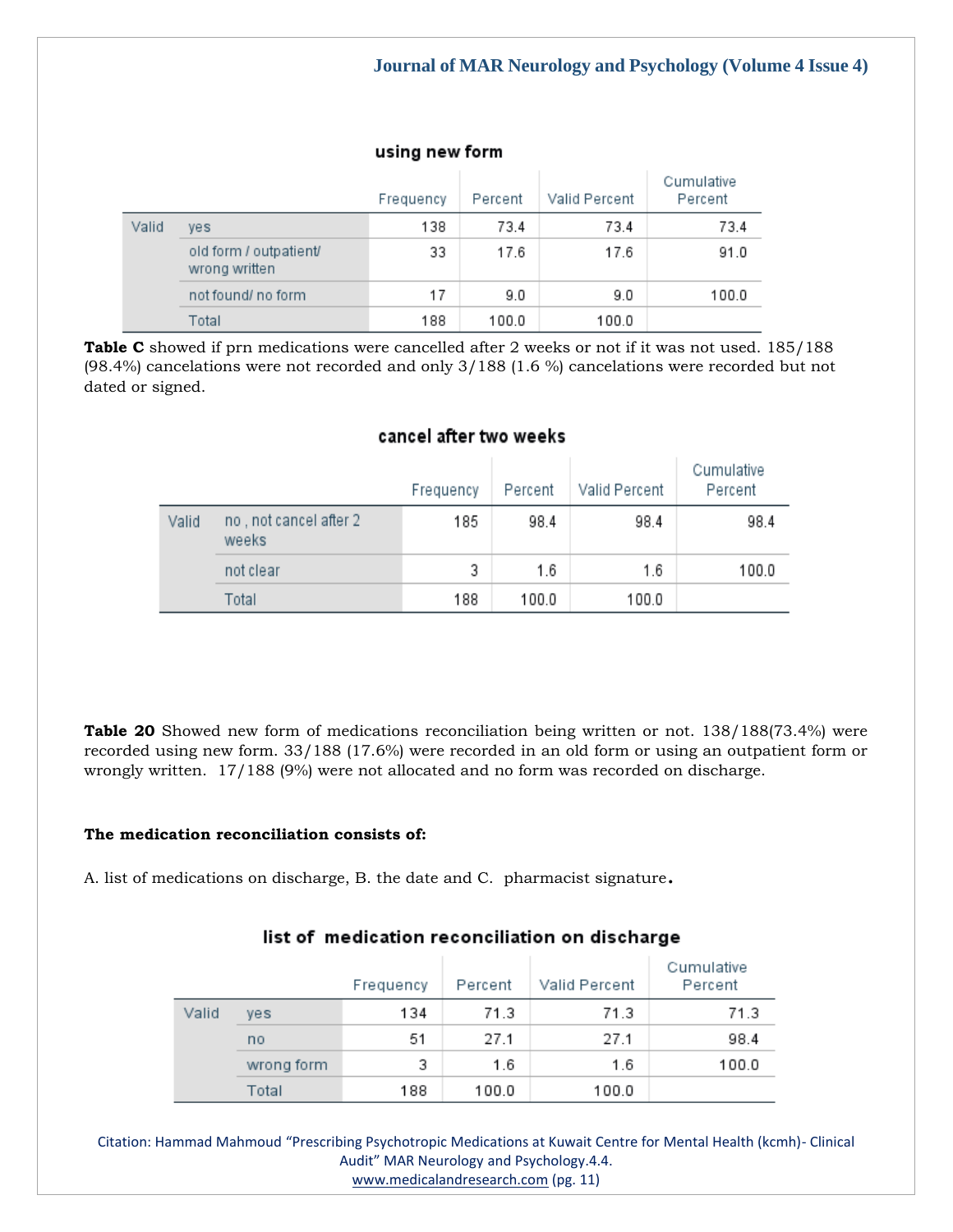#### using new form

|       |                                         | Frequency | Percent | Valid Percent | Cumulative<br>Percent |
|-------|-----------------------------------------|-----------|---------|---------------|-----------------------|
| Valid | ves                                     | 138       | 73.4    | 73.4          | 73.4                  |
|       | old form / outpatient/<br>wrong written | 33        | 17.6    | 17.6          | 91.0                  |
|       | not found/ no form                      | 17        | 9.0     | 9.0           | 100.0                 |
|       | Total                                   | 188       | 100.0   | 100.0         |                       |

**Table C** showed if prn medications were cancelled after 2 weeks or not if it was not used. 185/188 (98.4%) cancelations were not recorded and only 3/188 (1.6 %) cancelations were recorded but not dated or signed.

### cancel after two weeks

|       |                                  | Frequency | Percent | Valid Percent | Cumulative<br>Percent |
|-------|----------------------------------|-----------|---------|---------------|-----------------------|
| Valid | no , not cancel after 2<br>weeks | 185       | 98.4    | 98.4          | 98.4                  |
|       | not clear                        | 3         | 1.6     | 1.6           | 100.0                 |
|       | Total                            | 188       | 100.0   | 100.0         |                       |

**Table 20** Showed new form of medications reconciliation being written or not. 138/188(73.4%) were recorded using new form. 33/188 (17.6%) were recorded in an old form or using an outpatient form or wrongly written. 17/188 (9%) were not allocated and no form was recorded on discharge.

#### **The medication reconciliation consists of:**

A. list of medications on discharge, B. the date and C. pharmacist signature.

|       |            | Frequency | Percent | Valid Percent | Cumulative<br>Percent |
|-------|------------|-----------|---------|---------------|-----------------------|
| Valid | ves        | 134       | 71.3    | 71.3          | 71.3                  |
|       | no         | 51        | 27.1    | 27.1          | 98.4                  |
|       | wrong form | 3         | 1.6     | 1.6           | 100.0                 |
|       | Total      | 188       | 100.0   | 100.0         |                       |

## list of medication reconciliation on discharge

Citation: Hammad Mahmoud "Prescribing Psychotropic Medications at Kuwait Centre for Mental Health (kcmh)- Clinical Audit" MAR Neurology and Psychology.4.4.

[www.medicalandresearch.com](http://www.medicalandresearch.com/) (pg. 11)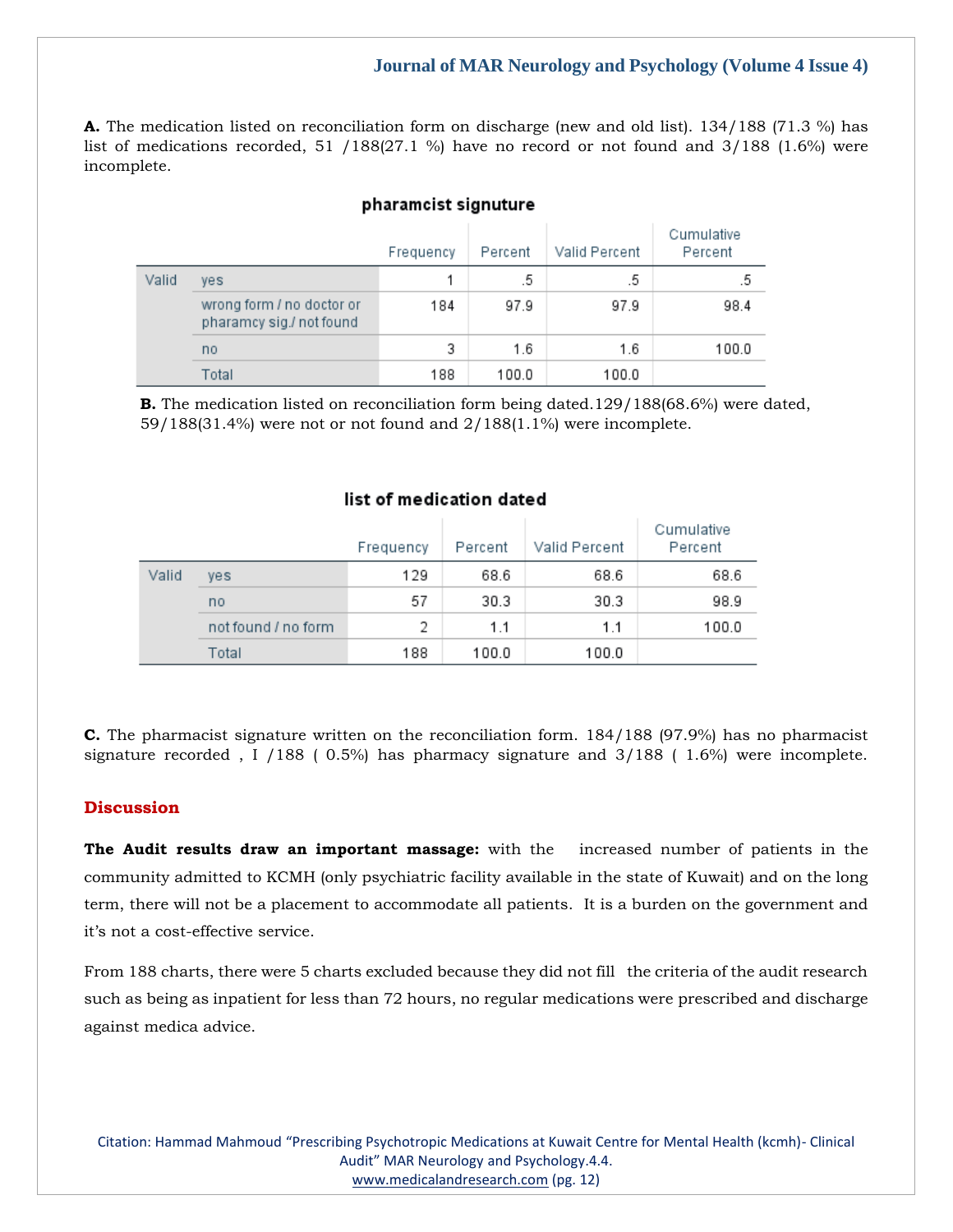**A.** The medication listed on reconciliation form on discharge (new and old list). 134/188 (71.3 %) has list of medications recorded, 51 / 188(27.1 %) have no record or not found and  $3/188$  (1.6%) were incomplete.

#### pharamcist signuture

|       |                                                       | Frequency | Percent | Valid Percent | Cumulative<br>Percent |
|-------|-------------------------------------------------------|-----------|---------|---------------|-----------------------|
| Valid | yes                                                   |           | .5      | .5            | .5                    |
|       | wrong form / no doctor or<br>pharamcy sig./ not found | 184       | 97.9    | 97.9          | 98.4                  |
|       | no                                                    | 3         | 1.6     | 1.6           | 100.0                 |
|       | Total                                                 | 188       | 100.0   | 100.0         |                       |

**B.** The medication listed on reconciliation form being dated.129/188(68.6%) were dated, 59/188(31.4%) were not or not found and 2/188(1.1%) were incomplete.

#### list of medication dated

|       |                     | Frequency | Percent | Valid Percent | Cumulative<br>Percent |
|-------|---------------------|-----------|---------|---------------|-----------------------|
| Valid | yes                 | 129       | 68.6    | 68.6          | 68.6                  |
|       | no                  | 57        | 30.3    | 30.3          | 98.9                  |
|       | not found / no form | 2         | 1.1     | 1.1           | 100.0                 |
|       | Total               | 188       | 100.0   | 100.0         |                       |

**C.** The pharmacist signature written on the reconciliation form. 184/188 (97.9%) has no pharmacist signature recorded , I /188 ( 0.5%) has pharmacy signature and 3/188 ( 1.6%) were incomplete.

#### **Discussion**

**The Audit results draw an important massage:** with the increased number of patients in the community admitted to KCMH (only psychiatric facility available in the state of Kuwait) and on the long term, there will not be a placement to accommodate all patients. It is a burden on the government and it's not a cost-effective service.

From 188 charts, there were 5 charts excluded because they did not fill the criteria of the audit research such as being as inpatient for less than 72 hours, no regular medications were prescribed and discharge against medica advice.

Citation: Hammad Mahmoud "Prescribing Psychotropic Medications at Kuwait Centre for Mental Health (kcmh)- Clinical Audit" MAR Neurology and Psychology.4.4. [www.medicalandresearch.com](http://www.medicalandresearch.com/) (pg. 12)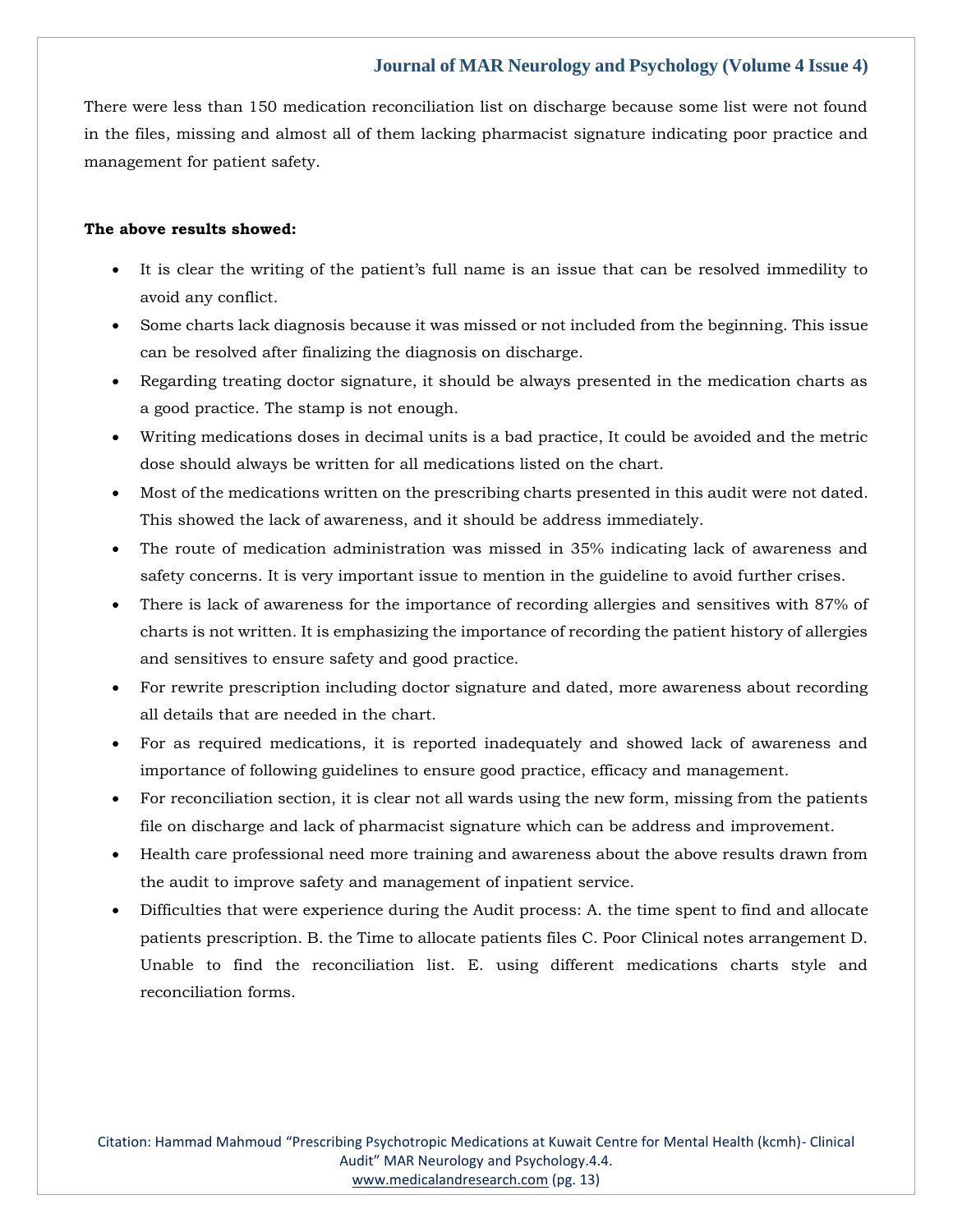There were less than 150 medication reconciliation list on discharge because some list were not found in the files, missing and almost all of them lacking pharmacist signature indicating poor practice and management for patient safety.

#### **The above results showed:**

- It is clear the writing of the patient's full name is an issue that can be resolved immedility to avoid any conflict.
- Some charts lack diagnosis because it was missed or not included from the beginning. This issue can be resolved after finalizing the diagnosis on discharge.
- Regarding treating doctor signature, it should be always presented in the medication charts as a good practice. The stamp is not enough.
- Writing medications doses in decimal units is a bad practice, It could be avoided and the metric dose should always be written for all medications listed on the chart.
- Most of the medications written on the prescribing charts presented in this audit were not dated. This showed the lack of awareness, and it should be address immediately.
- The route of medication administration was missed in 35% indicating lack of awareness and safety concerns. It is very important issue to mention in the guideline to avoid further crises.
- There is lack of awareness for the importance of recording allergies and sensitives with 87% of charts is not written. It is emphasizing the importance of recording the patient history of allergies and sensitives to ensure safety and good practice.
- For rewrite prescription including doctor signature and dated, more awareness about recording all details that are needed in the chart.
- For as required medications, it is reported inadequately and showed lack of awareness and importance of following guidelines to ensure good practice, efficacy and management.
- For reconciliation section, it is clear not all wards using the new form, missing from the patients file on discharge and lack of pharmacist signature which can be address and improvement.
- Health care professional need more training and awareness about the above results drawn from the audit to improve safety and management of inpatient service.
- Difficulties that were experience during the Audit process: A. the time spent to find and allocate patients prescription. B. the Time to allocate patients files C. Poor Clinical notes arrangement D. Unable to find the reconciliation list. E. using different medications charts style and reconciliation forms.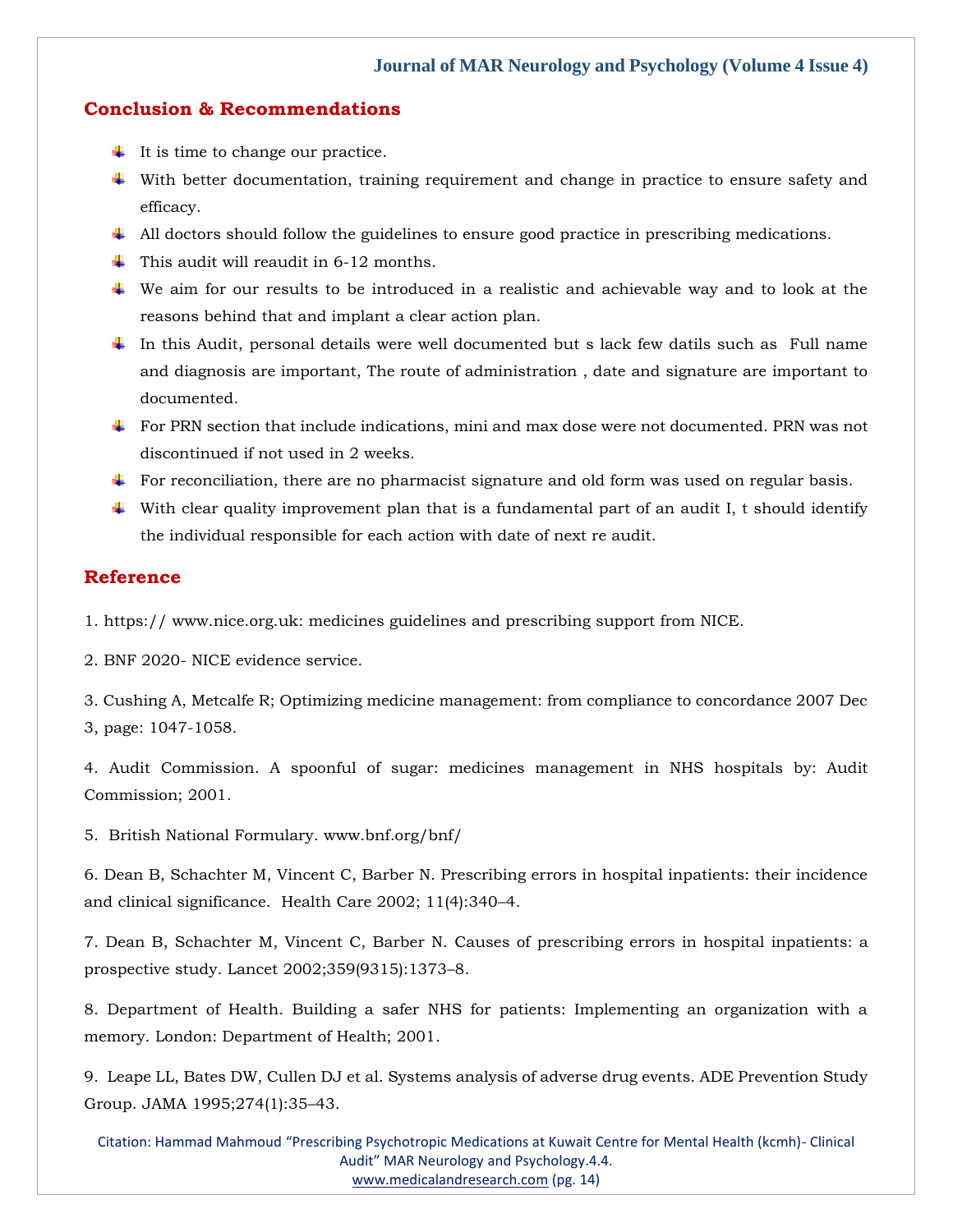#### **Conclusion & Recommendations**

- $\ddot{\bullet}$  It is time to change our practice.
- With better documentation, training requirement and change in practice to ensure safety and efficacy.
- $\ddot{\bullet}$  All doctors should follow the guidelines to ensure good practice in prescribing medications.
- $\ddot{\bullet}$  This audit will reaudit in 6-12 months.
- We aim for our results to be introduced in a realistic and achievable way and to look at the reasons behind that and implant a clear action plan.
- In this Audit, personal details were well documented but s lack few datils such as Full name and diagnosis are important, The route of administration , date and signature are important to documented.
- For PRN section that include indications, mini and max dose were not documented. PRN was not discontinued if not used in 2 weeks.
- For reconciliation, there are no pharmacist signature and old form was used on regular basis.
- With clear quality improvement plan that is a fundamental part of an audit I, t should identify the individual responsible for each action with date of next re audit.

## **Reference**

1. https:// www.nice.org.uk: medicines guidelines and prescribing support from NICE.

2. BNF 2020- [NICE evidence service.](https://www.google.com/search?q=BNF+2020-+NICE+evidence+service&oq=BNF+2020-+NICE+evidence+service&aqs=chrome..69i57j33i10i160.494j0j7&sourceid=chrome&ie=UTF-8)

[3. Cushing A, Metcalfe R; Optimizing medicine management: from compliance to concordance 2007 Dec](https://www.google.com/search?q=Optimizing+medicine+management%3A+from+compliance+to+concordance+&sxsrf=APq-WBulX9IIiibVeLXyKL4QGmfQVn2hiA%3A1647495604955&ei=tMkyYsTtOeeI4-EPx-uZ2A8&ved=0ahUKEwjEl7Wyt8z2AhVnxDgGHcd1BvsQ4dUDCA4&oq=Optimizing+medicine+management%3A+from+compliance+to+concordance+&gs_lcp=Cgdnd3Mtd2l6EAwyBggAEBYQHjoHCCMQ6gIQJ0oECEEYAEoECEYYAFDKA1jKA2CHCGgBcAF4AIAB2QKIAdkCkgEDMy0xmAEAoAEBoAECsAEKwAEB&sclient=gws-wiz)  [3, page: 1047-1058.](https://www.google.com/search?q=Optimizing+medicine+management%3A+from+compliance+to+concordance+&sxsrf=APq-WBulX9IIiibVeLXyKL4QGmfQVn2hiA%3A1647495604955&ei=tMkyYsTtOeeI4-EPx-uZ2A8&ved=0ahUKEwjEl7Wyt8z2AhVnxDgGHcd1BvsQ4dUDCA4&oq=Optimizing+medicine+management%3A+from+compliance+to+concordance+&gs_lcp=Cgdnd3Mtd2l6EAwyBggAEBYQHjoHCCMQ6gIQJ0oECEEYAEoECEYYAFDKA1jKA2CHCGgBcAF4AIAB2QKIAdkCkgEDMy0xmAEAoAEBoAECsAEKwAEB&sclient=gws-wiz)

[4. Audit Commission. A spoonful of sugar: medicines management in NHS hospitals by: Audit](https://www.google.com/search?q=A+spoonful+of+sugar%3A+medicines+management+in+NHS+hospitals+by%3A+Audit+&sxsrf=APq-WBtfDd8focD46pbMGaFtVkHI-1sbSw%3A1647495622434&ei=xskyYtiKGpqD4-EP6bCfoAk&ved=0ahUKEwjYheC6t8z2AhWawTgGHWnYB5QQ4dUDCA4&oq=A+spoonful+of+sugar%3A+medicines+management+in+NHS+hospitals+by%3A+Audit+&gs_lcp=Cgdnd3Mtd2l6EAw6BwgjEOoCECdKBAhBGABKBAhGGABQjAJYjAJguBBoAXABeACAAWeIAWeSAQMwLjGYAQCgAQGgAQKwAQrAAQE&sclient=gws-wiz)  [Commission; 2001.](https://www.google.com/search?q=A+spoonful+of+sugar%3A+medicines+management+in+NHS+hospitals+by%3A+Audit+&sxsrf=APq-WBtfDd8focD46pbMGaFtVkHI-1sbSw%3A1647495622434&ei=xskyYtiKGpqD4-EP6bCfoAk&ved=0ahUKEwjYheC6t8z2AhWawTgGHWnYB5QQ4dUDCA4&oq=A+spoonful+of+sugar%3A+medicines+management+in+NHS+hospitals+by%3A+Audit+&gs_lcp=Cgdnd3Mtd2l6EAw6BwgjEOoCECdKBAhBGABKBAhGGABQjAJYjAJguBBoAXABeACAAWeIAWeSAQMwLjGYAQCgAQGgAQKwAQrAAQE&sclient=gws-wiz)

5. British National Formulary. www.bnf.org/bnf/

[6. Dean B, Schachter M, Vincent C, Barber N. Prescribing errors in hospital inpatients: their incidence](https://www.google.com/search?q=.+Prescribing+errors+in+hospital+inpatients%3A+their+incidence+and+clinical+significance&sxsrf=APq-WBuzQbOayvo1xQgxOrnpy4JxMMTFqQ%3A1647495637759&ei=1ckyYpD4LbWJ4-EP8POTqA0&ved=0ahUKEwjQtofCt8z2AhW1xDgGHfD5BNUQ4dUDCA4&oq=.+Prescribing+errors+in+hospital+inpatients%3A+their+incidence+and+clinical+significance&gs_lcp=Cgdnd3Mtd2l6EAwyBAgAEB46BwgjEOoCECdKBAhBGABKBAhGGABQ-QNY-QNgpAloAXABeACAAasCiAGrApIBAzItMZgBAKABAaABArABCsABAQ&sclient=gws-wiz)  [and clinical significance. Health Care 2002; 11\(4\):340](https://www.google.com/search?q=.+Prescribing+errors+in+hospital+inpatients%3A+their+incidence+and+clinical+significance&sxsrf=APq-WBuzQbOayvo1xQgxOrnpy4JxMMTFqQ%3A1647495637759&ei=1ckyYpD4LbWJ4-EP8POTqA0&ved=0ahUKEwjQtofCt8z2AhW1xDgGHfD5BNUQ4dUDCA4&oq=.+Prescribing+errors+in+hospital+inpatients%3A+their+incidence+and+clinical+significance&gs_lcp=Cgdnd3Mtd2l6EAwyBAgAEB46BwgjEOoCECdKBAhBGABKBAhGGABQ-QNY-QNgpAloAXABeACAAasCiAGrApIBAzItMZgBAKABAaABArABCsABAQ&sclient=gws-wiz)–4.

[7. Dean B, Schachter M, Vincent C, Barber N. Causes of prescribing errors in hospital inpatients: a](https://www.google.com/search?q=Causes+of+prescribing+errors+in+hospital+inpatients%3A+a+prospective+study&sxsrf=APq-WBsiAbUlbwvikR2clg14Tsq6kSZhSw%3A1647495654765&ei=5skyYpSoLpCK4-EPnNmF0AQ&ved=0ahUKEwiUs5XKt8z2AhUQxTgGHZxsAUoQ4dUDCA4&oq=Causes+of+prescribing+errors+in+hospital+inpatients%3A+a+prospective+study&gs_lcp=Cgdnd3Mtd2l6EAwyBQgAEIAEOgcIIxDqAhAnSgQIQRgASgQIRhgAUKMDWKMDYKYIaAFwAHgAgAFjiAFjkgEBMZgBAKABAaABArABCsABAQ&sclient=gws-wiz)  [prospective study. Lancet 2002;359\(9315\):1373](https://www.google.com/search?q=Causes+of+prescribing+errors+in+hospital+inpatients%3A+a+prospective+study&sxsrf=APq-WBsiAbUlbwvikR2clg14Tsq6kSZhSw%3A1647495654765&ei=5skyYpSoLpCK4-EPnNmF0AQ&ved=0ahUKEwiUs5XKt8z2AhUQxTgGHZxsAUoQ4dUDCA4&oq=Causes+of+prescribing+errors+in+hospital+inpatients%3A+a+prospective+study&gs_lcp=Cgdnd3Mtd2l6EAwyBQgAEIAEOgcIIxDqAhAnSgQIQRgASgQIRhgAUKMDWKMDYKYIaAFwAHgAgAFjiAFjkgEBMZgBAKABAaABArABCsABAQ&sclient=gws-wiz)–8.

[8. Department of Health. Building a safer NHS for patients: Implementing an organization with a](https://www.google.com/search?q=Building+a+safer+NHS+for+patients%3A+Implementing+an+organization+with+a+memory.&sxsrf=APq-WBuReLE8NEp5gA9wj6rS7cn98ZTXTw%3A1647495668311&ei=9MkyYrS9EoGZ4-EPjf2lyAU&ved=0ahUKEwi0h9DQt8z2AhWBzDgGHY1-CVkQ4dUDCA4&oq=Building+a+safer+NHS+for+patients%3A+Implementing+an+organization+with+a+memory.&gs_lcp=Cgdnd3Mtd2l6EAw6BwgjEOoCECdKBAhBGABKBAhGGABQsgJYsgJgmQloAXAAeACAAWSIAWSSAQMwLjGYAQCgAQGgAQKwAQrAAQE&sclient=gws-wiz)  [memory. London: Department of Health; 2001.](https://www.google.com/search?q=Building+a+safer+NHS+for+patients%3A+Implementing+an+organization+with+a+memory.&sxsrf=APq-WBuReLE8NEp5gA9wj6rS7cn98ZTXTw%3A1647495668311&ei=9MkyYrS9EoGZ4-EPjf2lyAU&ved=0ahUKEwi0h9DQt8z2AhWBzDgGHY1-CVkQ4dUDCA4&oq=Building+a+safer+NHS+for+patients%3A+Implementing+an+organization+with+a+memory.&gs_lcp=Cgdnd3Mtd2l6EAw6BwgjEOoCECdKBAhBGABKBAhGGABQsgJYsgJgmQloAXAAeACAAWSIAWSSAQMwLjGYAQCgAQGgAQKwAQrAAQE&sclient=gws-wiz)

[9. Leape LL, Bates DW, Cullen DJ et al. Systems analysis of adverse drug events. ADE Prevention Study](https://www.google.com/search?q=Systems+analysis+of+adverse+drug+events&sxsrf=APq-WBspxh9Ef8F7g6u036Y-yAIFRzb0EQ%3A1647495682636&ei=AsoyYp66JpmP4-EP8eqS8Aw&ved=0ahUKEwiew7rXt8z2AhWZxzgGHXG1BM4Q4dUDCA4&oq=Systems+analysis+of+adverse+drug+events&gs_lcp=Cgdnd3Mtd2l6EAwyBQgAEIAEOgcIIxDqAhAnSgQIQRgASgQIRhgAUP8CWP8CYIsGaAFwAXgAgAFkiAFkkgEDMC4xmAEAoAEBoAECsAEKwAEB&sclient=gws-wiz)  [Group. JAMA 1995;274\(1\):35](https://www.google.com/search?q=Systems+analysis+of+adverse+drug+events&sxsrf=APq-WBspxh9Ef8F7g6u036Y-yAIFRzb0EQ%3A1647495682636&ei=AsoyYp66JpmP4-EP8eqS8Aw&ved=0ahUKEwiew7rXt8z2AhWZxzgGHXG1BM4Q4dUDCA4&oq=Systems+analysis+of+adverse+drug+events&gs_lcp=Cgdnd3Mtd2l6EAwyBQgAEIAEOgcIIxDqAhAnSgQIQRgASgQIRhgAUP8CWP8CYIsGaAFwAXgAgAFkiAFkkgEDMC4xmAEAoAEBoAECsAEKwAEB&sclient=gws-wiz)–43.

Citation: Hammad Mahmoud "Prescribing Psychotropic Medications at Kuwait Centre for Mental Health (kcmh)- Clinical Audit" MAR Neurology and Psychology.4.4. [www.medicalandresearch.com](http://www.medicalandresearch.com/) (pg. 14)